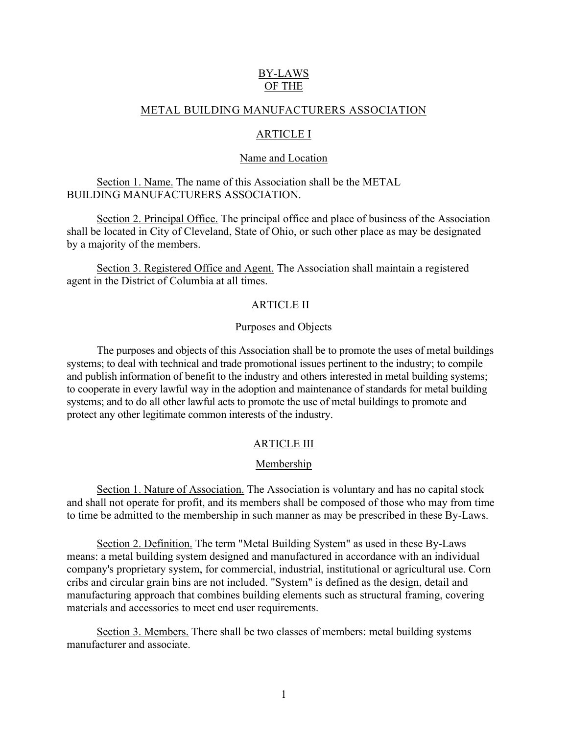# BY-LAWS OF THE

## METAL BUILDING MANUFACTURERS ASSOCIATION

# ARTICLE I

## Name and Location

Section 1. Name. The name of this Association shall be the METAL BUILDING MANUFACTURERS ASSOCIATION.

Section 2. Principal Office. The principal office and place of business of the Association shall be located in City of Cleveland, State of Ohio, or such other place as may be designated by a majority of the members.

Section 3. Registered Office and Agent. The Association shall maintain a registered agent in the District of Columbia at all times.

## ARTICLE II

## Purposes and Objects

The purposes and objects of this Association shall be to promote the uses of metal buildings systems; to deal with technical and trade promotional issues pertinent to the industry; to compile and publish information of benefit to the industry and others interested in metal building systems; to cooperate in every lawful way in the adoption and maintenance of standards for metal building systems; and to do all other lawful acts to promote the use of metal buildings to promote and protect any other legitimate common interests of the industry.

# ARTICLE III

## Membership

Section 1. Nature of Association. The Association is voluntary and has no capital stock and shall not operate for profit, and its members shall be composed of those who may from time to time be admitted to the membership in such manner as may be prescribed in these By-Laws.

Section 2. Definition. The term "Metal Building System" as used in these By-Laws means: a metal building system designed and manufactured in accordance with an individual company's proprietary system, for commercial, industrial, institutional or agricultural use. Corn cribs and circular grain bins are not included. "System" is defined as the design, detail and manufacturing approach that combines building elements such as structural framing, covering materials and accessories to meet end user requirements.

Section 3. Members. There shall be two classes of members: metal building systems manufacturer and associate.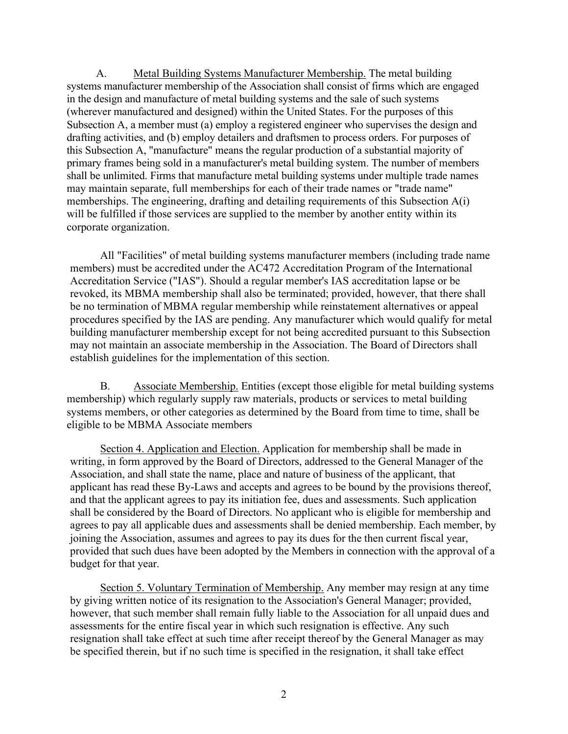A. Metal Building Systems Manufacturer Membership. The metal building systems manufacturer membership of the Association shall consist of firms which are engaged in the design and manufacture of metal building systems and the sale of such systems (wherever manufactured and designed) within the United States. For the purposes of this Subsection A, a member must (a) employ a registered engineer who supervises the design and drafting activities, and (b) employ detailers and draftsmen to process orders. For purposes of this Subsection A, "manufacture" means the regular production of a substantial majority of primary frames being sold in a manufacturer's metal building system. The number of members shall be unlimited. Firms that manufacture metal building systems under multiple trade names may maintain separate, full memberships for each of their trade names or "trade name" memberships. The engineering, drafting and detailing requirements of this Subsection A(i) will be fulfilled if those services are supplied to the member by another entity within its corporate organization.

All "Facilities" of metal building systems manufacturer members (including trade name members) must be accredited under the AC472 Accreditation Program of the International Accreditation Service ("IAS"). Should a regular member's IAS accreditation lapse or be revoked, its MBMA membership shall also be terminated; provided, however, that there shall be no termination of MBMA regular membership while reinstatement alternatives or appeal procedures specified by the IAS are pending. Any manufacturer which would qualify for metal building manufacturer membership except for not being accredited pursuant to this Subsection may not maintain an associate membership in the Association. The Board of Directors shall establish guidelines for the implementation of this section.

B. Associate Membership. Entities (except those eligible for metal building systems membership) which regularly supply raw materials, products or services to metal building systems members, or other categories as determined by the Board from time to time, shall be eligible to be MBMA Associate members

Section 4. Application and Election. Application for membership shall be made in writing, in form approved by the Board of Directors, addressed to the General Manager of the Association, and shall state the name, place and nature of business of the applicant, that applicant has read these By-Laws and accepts and agrees to be bound by the provisions thereof, and that the applicant agrees to pay its initiation fee, dues and assessments. Such application shall be considered by the Board of Directors. No applicant who is eligible for membership and agrees to pay all applicable dues and assessments shall be denied membership. Each member, by joining the Association, assumes and agrees to pay its dues for the then current fiscal year, provided that such dues have been adopted by the Members in connection with the approval of a budget for that year.

Section 5. Voluntary Termination of Membership. Any member may resign at any time by giving written notice of its resignation to the Association's General Manager; provided, however, that such member shall remain fully liable to the Association for all unpaid dues and assessments for the entire fiscal year in which such resignation is effective. Any such resignation shall take effect at such time after receipt thereof by the General Manager as may be specified therein, but if no such time is specified in the resignation, it shall take effect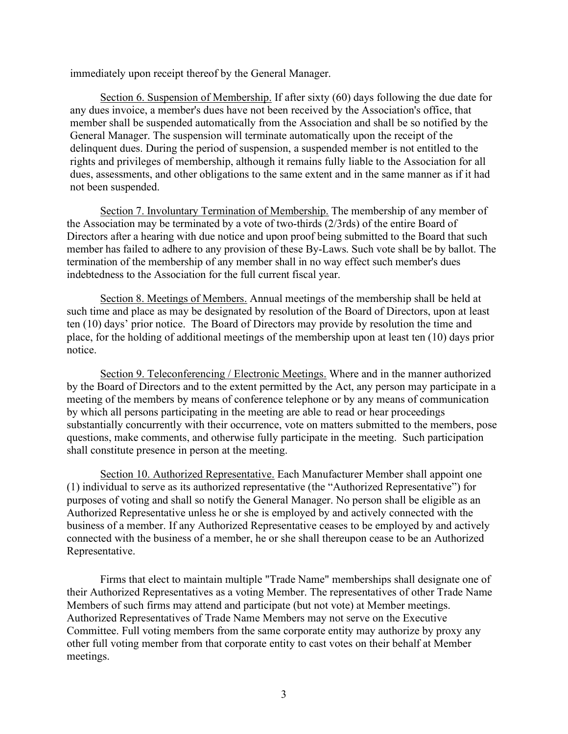immediately upon receipt thereof by the General Manager.

Section 6. Suspension of Membership. If after sixty (60) days following the due date for any dues invoice, a member's dues have not been received by the Association's office, that member shall be suspended automatically from the Association and shall be so notified by the General Manager. The suspension will terminate automatically upon the receipt of the delinquent dues. During the period of suspension, a suspended member is not entitled to the rights and privileges of membership, although it remains fully liable to the Association for all dues, assessments, and other obligations to the same extent and in the same manner as if it had not been suspended.

Section 7. Involuntary Termination of Membership. The membership of any member of the Association may be terminated by a vote of two-thirds (2/3rds) of the entire Board of Directors after a hearing with due notice and upon proof being submitted to the Board that such member has failed to adhere to any provision of these By-Laws. Such vote shall be by ballot. The termination of the membership of any member shall in no way effect such member's dues indebtedness to the Association for the full current fiscal year.

Section 8. Meetings of Members. Annual meetings of the membership shall be held at such time and place as may be designated by resolution of the Board of Directors, upon at least ten (10) days' prior notice. The Board of Directors may provide by resolution the time and place, for the holding of additional meetings of the membership upon at least ten (10) days prior notice.

Section 9. Teleconferencing / Electronic Meetings. Where and in the manner authorized by the Board of Directors and to the extent permitted by the Act, any person may participate in a meeting of the members by means of conference telephone or by any means of communication by which all persons participating in the meeting are able to read or hear proceedings substantially concurrently with their occurrence, vote on matters submitted to the members, pose questions, make comments, and otherwise fully participate in the meeting. Such participation shall constitute presence in person at the meeting.

Section 10. Authorized Representative. Each Manufacturer Member shall appoint one (1) individual to serve as its authorized representative (the "Authorized Representative") for purposes of voting and shall so notify the General Manager. No person shall be eligible as an Authorized Representative unless he or she is employed by and actively connected with the business of a member. If any Authorized Representative ceases to be employed by and actively connected with the business of a member, he or she shall thereupon cease to be an Authorized Representative.

Firms that elect to maintain multiple "Trade Name" memberships shall designate one of their Authorized Representatives as a voting Member. The representatives of other Trade Name Members of such firms may attend and participate (but not vote) at Member meetings. Authorized Representatives of Trade Name Members may not serve on the Executive Committee. Full voting members from the same corporate entity may authorize by proxy any other full voting member from that corporate entity to cast votes on their behalf at Member meetings.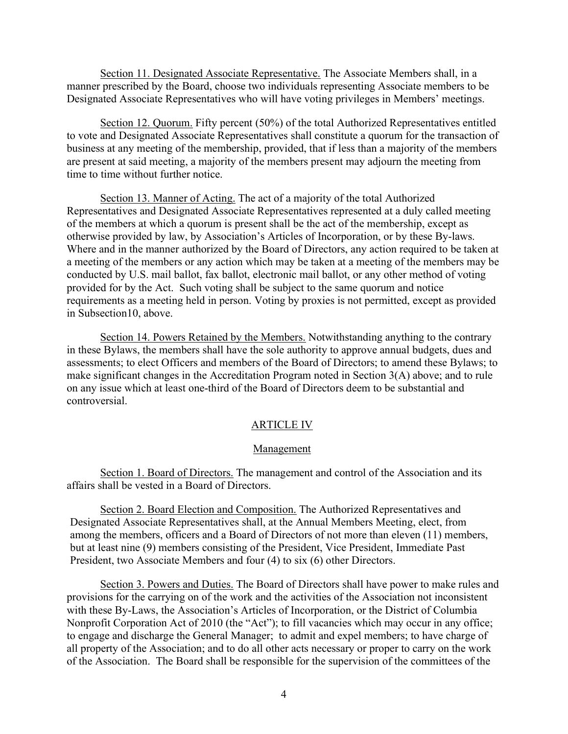Section 11. Designated Associate Representative. The Associate Members shall, in a manner prescribed by the Board, choose two individuals representing Associate members to be Designated Associate Representatives who will have voting privileges in Members' meetings.

Section 12. Quorum. Fifty percent (50%) of the total Authorized Representatives entitled to vote and Designated Associate Representatives shall constitute a quorum for the transaction of business at any meeting of the membership, provided, that if less than a majority of the members are present at said meeting, a majority of the members present may adjourn the meeting from time to time without further notice.

Section 13. Manner of Acting. The act of a majority of the total Authorized Representatives and Designated Associate Representatives represented at a duly called meeting of the members at which a quorum is present shall be the act of the membership, except as otherwise provided by law, by Association's Articles of Incorporation, or by these By-laws. Where and in the manner authorized by the Board of Directors, any action required to be taken at a meeting of the members or any action which may be taken at a meeting of the members may be conducted by U.S. mail ballot, fax ballot, electronic mail ballot, or any other method of voting provided for by the Act. Such voting shall be subject to the same quorum and notice requirements as a meeting held in person. Voting by proxies is not permitted, except as provided in Subsection10, above.

Section 14. Powers Retained by the Members. Notwithstanding anything to the contrary in these Bylaws, the members shall have the sole authority to approve annual budgets, dues and assessments; to elect Officers and members of the Board of Directors; to amend these Bylaws; to make significant changes in the Accreditation Program noted in Section 3(A) above; and to rule on any issue which at least one-third of the Board of Directors deem to be substantial and controversial.

## ARTICLE IV

### Management

Section 1. Board of Directors. The management and control of the Association and its affairs shall be vested in a Board of Directors.

Section 2. Board Election and Composition. The Authorized Representatives and Designated Associate Representatives shall, at the Annual Members Meeting, elect, from among the members, officers and a Board of Directors of not more than eleven (11) members, but at least nine (9) members consisting of the President, Vice President, Immediate Past President, two Associate Members and four (4) to six (6) other Directors.

Section 3. Powers and Duties. The Board of Directors shall have power to make rules and provisions for the carrying on of the work and the activities of the Association not inconsistent with these By-Laws, the Association's Articles of Incorporation, or the District of Columbia Nonprofit Corporation Act of 2010 (the "Act"); to fill vacancies which may occur in any office; to engage and discharge the General Manager; to admit and expel members; to have charge of all property of the Association; and to do all other acts necessary or proper to carry on the work of the Association. The Board shall be responsible for the supervision of the committees of the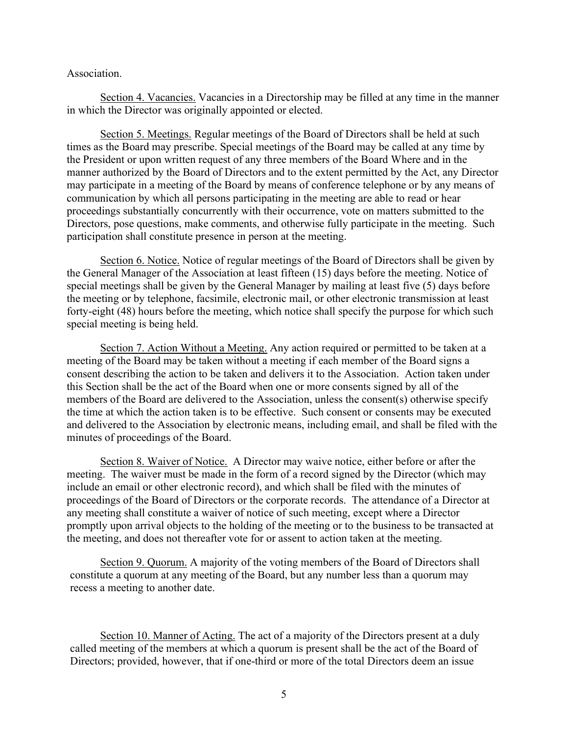Association.

Section 4. Vacancies. Vacancies in a Directorship may be filled at any time in the manner in which the Director was originally appointed or elected.

Section 5. Meetings. Regular meetings of the Board of Directors shall be held at such times as the Board may prescribe. Special meetings of the Board may be called at any time by the President or upon written request of any three members of the Board Where and in the manner authorized by the Board of Directors and to the extent permitted by the Act, any Director may participate in a meeting of the Board by means of conference telephone or by any means of communication by which all persons participating in the meeting are able to read or hear proceedings substantially concurrently with their occurrence, vote on matters submitted to the Directors, pose questions, make comments, and otherwise fully participate in the meeting. Such participation shall constitute presence in person at the meeting.

Section 6. Notice. Notice of regular meetings of the Board of Directors shall be given by the General Manager of the Association at least fifteen (15) days before the meeting. Notice of special meetings shall be given by the General Manager by mailing at least five (5) days before the meeting or by telephone, facsimile, electronic mail, or other electronic transmission at least forty-eight (48) hours before the meeting, which notice shall specify the purpose for which such special meeting is being held.

Section 7. Action Without a Meeting. Any action required or permitted to be taken at a meeting of the Board may be taken without a meeting if each member of the Board signs a consent describing the action to be taken and delivers it to the Association. Action taken under this Section shall be the act of the Board when one or more consents signed by all of the members of the Board are delivered to the Association, unless the consent(s) otherwise specify the time at which the action taken is to be effective. Such consent or consents may be executed and delivered to the Association by electronic means, including email, and shall be filed with the minutes of proceedings of the Board.

Section 8. Waiver of Notice. A Director may waive notice, either before or after the meeting. The waiver must be made in the form of a record signed by the Director (which may include an email or other electronic record), and which shall be filed with the minutes of proceedings of the Board of Directors or the corporate records. The attendance of a Director at any meeting shall constitute a waiver of notice of such meeting, except where a Director promptly upon arrival objects to the holding of the meeting or to the business to be transacted at the meeting, and does not thereafter vote for or assent to action taken at the meeting.

Section 9. Quorum. A majority of the voting members of the Board of Directors shall constitute a quorum at any meeting of the Board, but any number less than a quorum may recess a meeting to another date.

Section 10. Manner of Acting. The act of a majority of the Directors present at a duly called meeting of the members at which a quorum is present shall be the act of the Board of Directors; provided, however, that if one-third or more of the total Directors deem an issue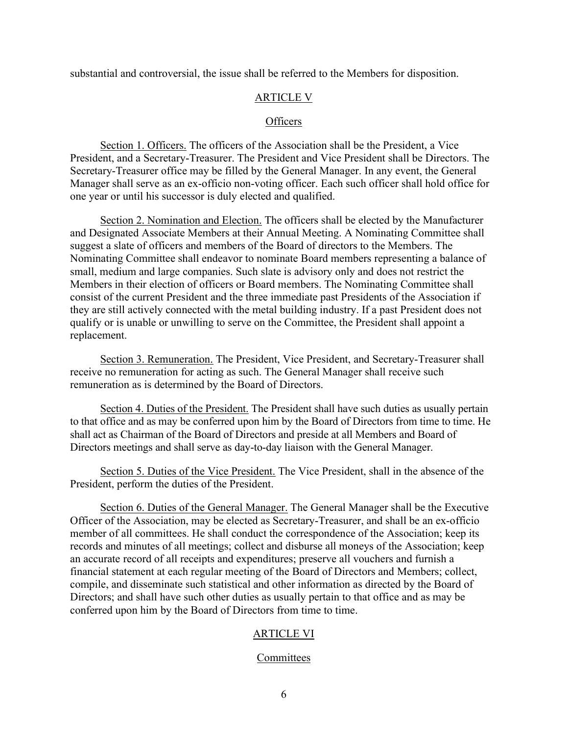substantial and controversial, the issue shall be referred to the Members for disposition.

## ARTICLE V

### **Officers**

Section 1. Officers. The officers of the Association shall be the President, a Vice President, and a Secretary-Treasurer. The President and Vice President shall be Directors. The Secretary-Treasurer office may be filled by the General Manager. In any event, the General Manager shall serve as an ex-officio non-voting officer. Each such officer shall hold office for one year or until his successor is duly elected and qualified.

Section 2. Nomination and Election. The officers shall be elected by the Manufacturer and Designated Associate Members at their Annual Meeting. A Nominating Committee shall suggest a slate of officers and members of the Board of directors to the Members. The Nominating Committee shall endeavor to nominate Board members representing a balance of small, medium and large companies. Such slate is advisory only and does not restrict the Members in their election of officers or Board members. The Nominating Committee shall consist of the current President and the three immediate past Presidents of the Association if they are still actively connected with the metal building industry. If a past President does not qualify or is unable or unwilling to serve on the Committee, the President shall appoint a replacement.

Section 3. Remuneration. The President, Vice President, and Secretary-Treasurer shall receive no remuneration for acting as such. The General Manager shall receive such remuneration as is determined by the Board of Directors.

Section 4. Duties of the President. The President shall have such duties as usually pertain to that office and as may be conferred upon him by the Board of Directors from time to time. He shall act as Chairman of the Board of Directors and preside at all Members and Board of Directors meetings and shall serve as day-to-day liaison with the General Manager.

Section 5. Duties of the Vice President. The Vice President, shall in the absence of the President, perform the duties of the President.

Section 6. Duties of the General Manager. The General Manager shall be the Executive Officer of the Association, may be elected as Secretary-Treasurer, and shall be an ex-officio member of all committees. He shall conduct the correspondence of the Association; keep its records and minutes of all meetings; collect and disburse all moneys of the Association; keep an accurate record of all receipts and expenditures; preserve all vouchers and furnish a financial statement at each regular meeting of the Board of Directors and Members; collect, compile, and disseminate such statistical and other information as directed by the Board of Directors; and shall have such other duties as usually pertain to that office and as may be conferred upon him by the Board of Directors from time to time.

# ARTICLE VI

#### Committees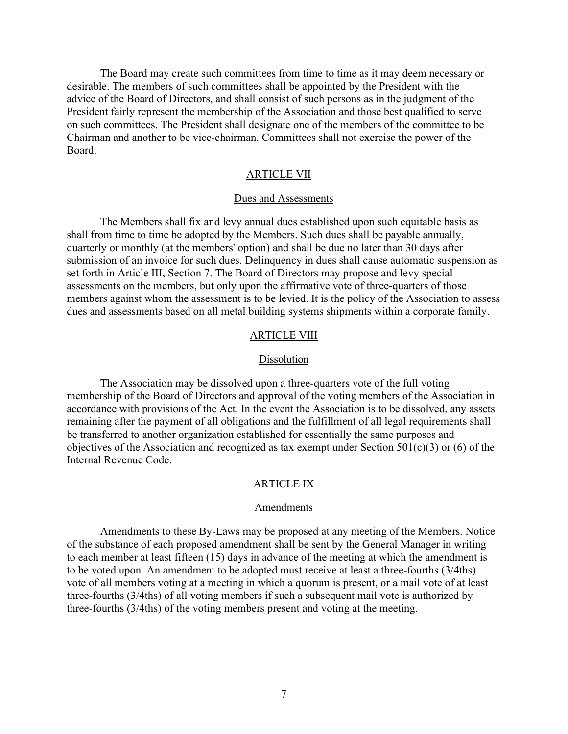The Board may create such committees from time to time as it may deem necessary or desirable. The members of such committees shall be appointed by the President with the advice of the Board of Directors, and shall consist of such persons as in the judgment of the President fairly represent the membership of the Association and those best qualified to serve on such committees. The President shall designate one of the members of the committee to be Chairman and another to be vice-chairman. Committees shall not exercise the power of the Board.

## ARTICLE VII

## Dues and Assessments

The Members shall fix and levy annual dues established upon such equitable basis as shall from time to time be adopted by the Members. Such dues shall be payable annually, quarterly or monthly (at the members' option) and shall be due no later than 30 days after submission of an invoice for such dues. Delinquency in dues shall cause automatic suspension as set forth in Article III, Section 7. The Board of Directors may propose and levy special assessments on the members, but only upon the affirmative vote of three-quarters of those members against whom the assessment is to be levied. It is the policy of the Association to assess dues and assessments based on all metal building systems shipments within a corporate family.

#### ARTICLE VIII

#### **Dissolution**

The Association may be dissolved upon a three-quarters vote of the full voting membership of the Board of Directors and approval of the voting members of the Association in accordance with provisions of the Act. In the event the Association is to be dissolved, any assets remaining after the payment of all obligations and the fulfillment of all legal requirements shall be transferred to another organization established for essentially the same purposes and objectives of the Association and recognized as tax exempt under Section 501(c)(3) or (6) of the Internal Revenue Code.

#### ARTICLE IX

#### Amendments

Amendments to these By-Laws may be proposed at any meeting of the Members. Notice of the substance of each proposed amendment shall be sent by the General Manager in writing to each member at least fifteen (15) days in advance of the meeting at which the amendment is to be voted upon. An amendment to be adopted must receive at least a three-fourths (3/4ths) vote of all members voting at a meeting in which a quorum is present, or a mail vote of at least three-fourths (3/4ths) of all voting members if such a subsequent mail vote is authorized by three-fourths (3/4ths) of the voting members present and voting at the meeting.